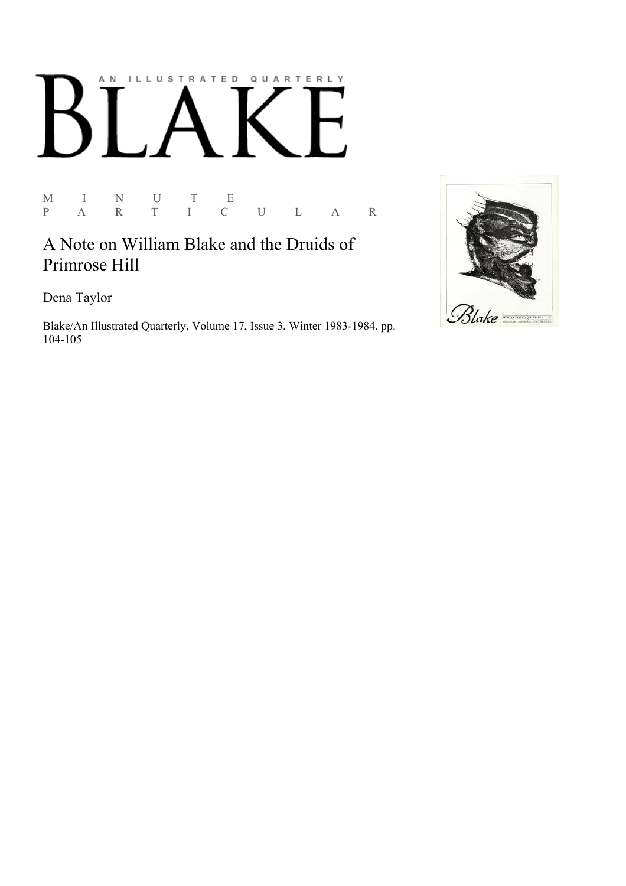# AN ILLUSTRATED QUARTERLY

M I N U T E P A R T I C U L A R

# A Note on William Blake and the Druids of Primrose Hill

Dena Taylor

Blake/An Illustrated Quarterly, Volume 17, Issue 3, Winter 1983-1984, pp. 104-105

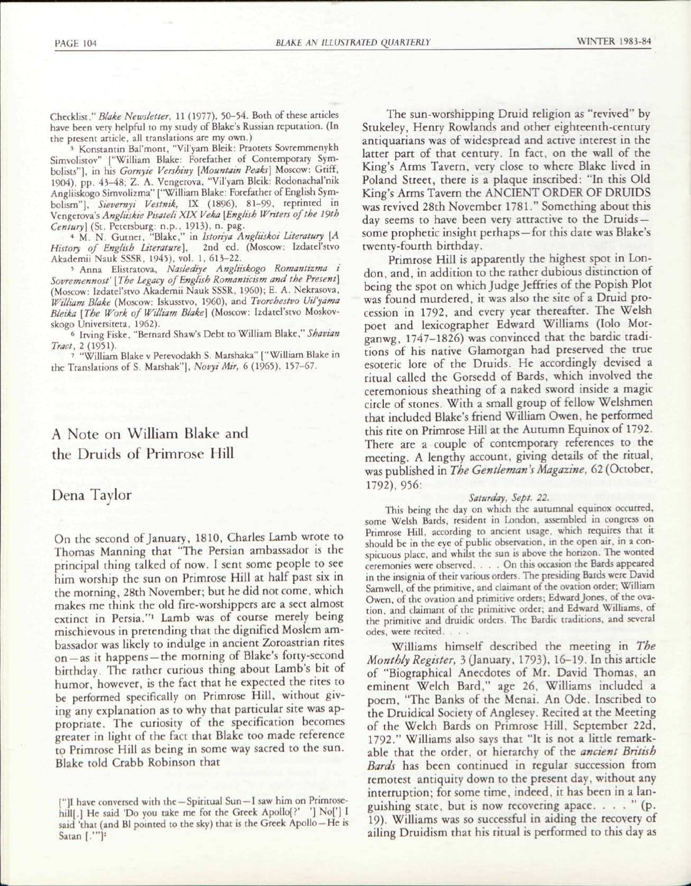Checklist," *Blake Newsletter,* 11 (1977), 50-54. Both of these articles have been very helpful to my study of Blake's Russian reputation. (In the present article, all translations are my own.)

3 Konstantin Bal'mont, "Vil'yam Bleik: Praotets Sovremmenykh Simvolistov" ["William Blake: Forefather of Contemporary Symbolists"], in his *Gornyie Versbiny [Mountain Peaks]* Moscow: Griff, 1904), pp. 43-48; Z. A. Vengerova, "Vil'yam Bleik: Rodonachal'nik Angliiskogo Simvolizma" ["William Blake: Forefather of English Symbolism"], *Stevernyt Vestnik,* IX (1896), 81-99, reprinted in Vengerova's *Angliiskie Ptsateli XIX Veka [English Writers of the 19th Century)* (St. Petersburg: n.p., 1913), n. pag. 4 M. N. Gutner, "Blake," in *Istoriya Angliiskoi Literatury [A* 

*History of English Literature),* 2nd ed. (Moscow: Izdatel'stvo Akademii Nauk SSSR, 1945), vol. 1, 613-22.

5 Anna Elistratova, *Naslediye Angliiskogo Romantizma i Sovremennost' [The Legacy of English Romanticism and the Present]*  (Moscow: Izdatel'stvo Akademii Nauk SSSR, I960); E. A. Nekrasova, *William Blake* (Moscow: Iskusstvo, I960), and *Tvorchestvo Uil'yama Bleika [The Work of William Blake)* (Moscow: Izdatel'stvo Moskovskogo Universiteta, 1962).

6 Irving Fiske, "Bernard Shaw's Debt to William Blake," *Shavian* 

*Tract, 2* (1951). 7 "William Blake v Perevodakh S. Marshaka" ["William Blake in the Translations of S. Marshak"], *Novyi Mir,* 6 (1965), 157-67.

## A Note on William Blake and the Druids of Primrose Hill

## Dena Taylor

On the second of January, 1810, Charles Lamb wrote to Thomas Manning that "The Persian ambassador is the principal thing talked of now. I sent some people to see him worship the sun on Primrose Hill at half past six in the morning, 28th November; but he did not come, which makes me think the old fire-worshippers are a sect almost extinct in Persia."<sup>1</sup> Lamb was of course merely being mischievous in pretending that the dignified Moslem ambassador was likely to indulge in ancient Zoroastrian rites on —as it happens —the morning of Blake's forty-second birthday. The rather curious thing about Lamb's bit of humor, however, is the fact that he expected the rites to be performed specifically on Primrose Hill, without giving any explanation as to why that particular site was appropriate. The curiosity of the specification becomes greater in light of the fact that Blake too made reference to Primrose Hill as being in some way sacred to the sun. Blake told Crabb Robinson that

The sun-worshipping Druid religion as "revived" by Stukeley, Henry Rowlands and other eighteenth-century antiquarians was of widespread and active interest in the latter part of that century. In fact, on the wall of the King's Arms Tavern, very close to where Blake lived in Poland Street, there is a plaque inscribed: "In this Old King's Arms Tavern the ANCIENT ORDER OF DRUIDS was revived 28th November 1781." Something about this day seems to have been very attractive to the Druidssome prophetic insight perhaps —for this date was Blake's twenty-fourth birthday.

Primrose Hill is apparently the highest spot in London, and, in addition to the rather dubious distinction of being the spot on which Judge Jeffries of the Popish Plot was found murdered, it was also the site of a Druid procession in 1792, and every year thereafter. The Welsh poet and lexicographer Edward Williams (Iolo Morganwg, 1747-1826) was convinced that the bardic traditions of his native Glamorgan had preserved the true esoteric lore of the Druids. He accordingly devised a ritual called the Gorsedd of Bards, which involved the ceremonious sheathing of a naked sword inside a magic circle of stones. With a small group of fellow Welshmen that included Blake's friend William Owen, he performed this rite on Primrose Hill at the Autumn Equinox of 1792. There are a couple of contemporary references to the meeting. A lengthy account, giving details of the ritual, was published in *The Gentleman's Magazine,* 62 (October, 1792), 956:

#### *Saturday, Sept. 22.*

This being the day on which the autumnal equinox occurred, some Welsh Bards, resident in London, assembled in congress on Primrose Hill, according to ancient usage, which requires that it should be in the eye of public observation, in the open air, in a conspicuous place, and whilst the sun is above the horizon. The wonted ceremonies were observed. . . . On this occasion the Bards appeared in the insignia of their various orders. The presiding Bards were David Samwell, of the primitive, and claimant of the ovation order; William Owen, of the ovation and primitive orders; Edward Jones, of the ovation, and claimant of the primitive order; and Edward Williams, of the primitive and druidic orders. The Bardic traditions, and several odes, were recited. . . .

Williams himself described the meeting in *The*  Monthly Register, 3 (January, 1793), 16-19. In this article of "Biographical Anecdotes of Mr. David Thomas, an eminent Welch Bard," age 26, Williams included a poem, "The Banks of the Menai. An Ode. Inscribed to the Druidical Society of Anglesey. Recited at the Meeting of the Welch Bards on Primrose Hill, September 22d, 1792." Williams also says that "It is not a little remarkable that the order, or hierarchy of the *ancient British Bards* has been continued in regular succession from remotest antiquity down to the present day, without any interruption; for some time, indeed, it has been in a languishing state, but is now recovering apace. . . . " (p. 19). Williams was so successful in aiding the recovery of ailing Druidism that his ritual is performed to this day as

<sup>(&</sup>quot;]I have conversed with the —Spiritual Sun —I saw him on Primrosehill[.] He said 'Do you take me for the Greek Apollo[?' '] No['] I said 'that (and Bl pointed to the sky) that is the Greek Apollo-He is Satan [.'"]<sup>2</sup>